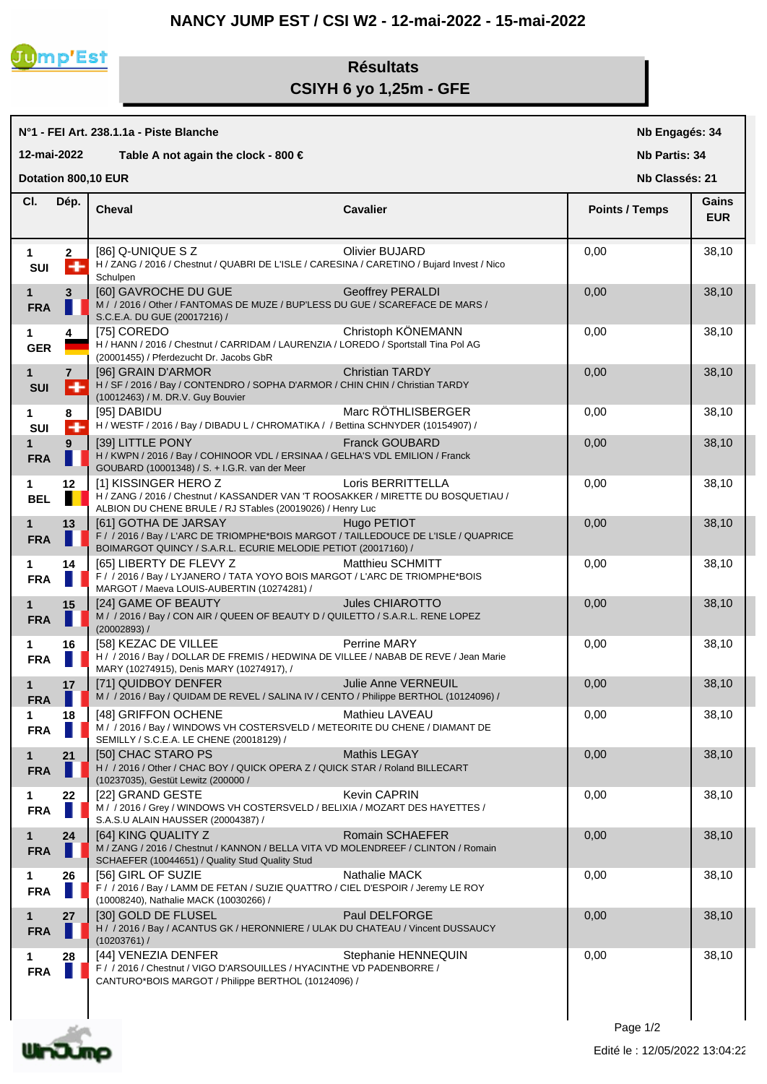## **NANCY JUMP EST / CSI W2 - 12-mai-2022 - 15-mai-2022**



## **Résultats CSIYH 6 yo 1,25m - GFE**

|                                       | N°1 - FEI Art. 238.1.1a - Piste Blanche | Nb Engagés: 34                                                                                                                                                                                     |                         |                       |                     |  |  |  |
|---------------------------------------|-----------------------------------------|----------------------------------------------------------------------------------------------------------------------------------------------------------------------------------------------------|-------------------------|-----------------------|---------------------|--|--|--|
|                                       | 12-mai-2022                             | Table A not again the clock - 800 €                                                                                                                                                                | <b>Nb Partis: 34</b>    |                       |                     |  |  |  |
| Dotation 800,10 EUR<br>Nb Classés: 21 |                                         |                                                                                                                                                                                                    |                         |                       |                     |  |  |  |
| CI.                                   | Dép.                                    | <b>Cheval</b>                                                                                                                                                                                      | <b>Cavalier</b>         | <b>Points / Temps</b> | Gains<br><b>EUR</b> |  |  |  |
| 1<br>SUI                              | $\mathbf{2}$<br>÷                       | [86] Q-UNIQUE S Z<br>H / ZANG / 2016 / Chestnut / QUABRI DE L'ISLE / CARESINA / CARETINO / Bujard Invest / Nico<br>Schulpen                                                                        | Olivier BUJARD          | 0,00                  | 38,10               |  |  |  |
| 1<br><b>FRA</b>                       | 3                                       | [60] GAVROCHE DU GUE <b>Allen Annual Structure (1994)</b><br>M / / 2016 / Other / FANTOMAS DE MUZE / BUP'LESS DU GUE / SCAREFACE DE MARS /<br>S.C.E.A. DU GUE (20017216) /                         | Geoffrey PERALDI        | 0,00                  | 38,10               |  |  |  |
| 1<br><b>GER</b>                       | 4                                       | [75] COREDO<br>H / HANN / 2016 / Chestnut / CARRIDAM / LAURENZIA / LOREDO / Sportstall Tina Pol AG<br>(20001455) / Pferdezucht Dr. Jacobs GbR                                                      | Christoph KÖNEMANN      | 0,00                  | 38,10               |  |  |  |
| $\mathbf{1}$<br><b>SUI</b>            | $\overline{7}$<br>÷                     | [96] GRAIN D'ARMOR<br>H / SF / 2016 / Bay / CONTENDRO / SOPHA D'ARMOR / CHIN CHIN / Christian TARDY<br>(10012463) / M. DR.V. Guy Bouvier                                                           | <b>Christian TARDY</b>  | 0,00                  | 38,10               |  |  |  |
| 1<br>SUI                              | 8<br>÷                                  | [95] DABIDU<br>H / WESTF / 2016 / Bay / DIBADU L / CHROMATIKA / / Bettina SCHNYDER (10154907) /                                                                                                    | Marc RÖTHLISBERGER      | 0,00                  | 38,10               |  |  |  |
| $\mathbf{1}$<br><b>FRA</b>            | 9                                       | [39] LITTLE PONY<br>H / KWPN / 2016 / Bay / COHINOOR VDL / ERSINAA / GELHA'S VDL EMILION / Franck<br>GOUBARD (10001348) / S. + I.G.R. van der Meer                                                 | <b>Franck GOUBARD</b>   | 0,00                  | 38,10               |  |  |  |
| 1<br><b>BEL</b>                       | 12                                      | [1] KISSINGER HERO Z<br>H / ZANG / 2016 / Chestnut / KASSANDER VAN 'T ROOSAKKER / MIRETTE DU BOSQUETIAU /<br>ALBION DU CHENE BRULE / RJ STables (20019026) / Henry Luc                             | Loris BERRITTELLA       | 0,00                  | 38,10               |  |  |  |
| 1<br><b>FRA</b>                       | 13                                      | [61] GOTHA DE JARSAY<br><b>CONTRACTOR</b><br>F / / 2016 / Bay / L'ARC DE TRIOMPHE*BOIS MARGOT / TAILLEDOUCE DE L'ISLE / QUAPRICE<br>BOIMARGOT QUINCY / S.A.R.L. ECURIE MELODIE PETIOT (20017160) / | Hugo PETIOT             | 0,00                  | 38,10               |  |  |  |
| 1<br><b>FRA</b>                       | 14<br>Ш                                 | [65] LIBERTY DE FLEVY Z<br>F / / 2016 / Bay / LYJANERO / TATA YOYO BOIS MARGOT / L'ARC DE TRIOMPHE*BOIS<br>MARGOT / Maeva LOUIS-AUBERTIN (10274281) /                                              | <b>Matthieu SCHMITT</b> | 0.00                  | 38,10               |  |  |  |
| $\mathbf{1}$<br><b>FRA</b>            | 15                                      | [24] GAME OF BEAUTY<br>M / / 2016 / Bay / CON AIR / QUEEN OF BEAUTY D / QUILETTO / S.A.R.L. RENE LOPEZ<br>$(20002893)$ /                                                                           | <b>Jules CHIAROTTO</b>  | 0,00                  | 38,10               |  |  |  |
| 1<br><b>FRA</b>                       | 16                                      | <b>[58] KEZAC DE VILLEE</b><br>H / / 2016 / Bay / DOLLAR DE FREMIS / HEDWINA DE VILLEE / NABAB DE REVE / Jean Marie<br>MARY (10274915), Denis MARY (10274917), /                                   | Perrine MARY            | 0,00                  | 38,10               |  |  |  |
| $\mathbf{1}$<br><b>FRA</b>            | 17<br>. .                               | [71] QUIDBOY DENFER<br>M / / 2016 / Bay / QUIDAM DE REVEL / SALINA IV / CENTO / Philippe BERTHOL (10124096) /                                                                                      | Julie Anne VERNEUIL     | 0,00                  | 38,10               |  |  |  |
| 1<br><b>FRA</b>                       | 18<br>M.                                | [48] GRIFFON OCHENE<br>M / / 2016 / Bay / WINDOWS VH COSTERSVELD / METEORITE DU CHENE / DIAMANT DE<br>SEMILLY / S.C.E.A. LE CHENE (20018129) /                                                     | Mathieu LAVEAU          | 0,00                  | 38,10               |  |  |  |
| $\mathbf 1$<br><b>FRA</b>             | 21                                      | [50] CHAC STARO PS<br>H / / 2016 / Other / CHAC BOY / QUICK OPERA Z / QUICK STAR / Roland BILLECART<br>(10237035), Gestüt Lewitz (200000 /                                                         | <b>Mathis LEGAY</b>     | 0,00                  | 38,10               |  |  |  |
| 1<br><b>FRA</b>                       | 22                                      | [22] GRAND GESTE<br>M / / 2016 / Grey / WINDOWS VH COSTERSVELD / BELIXIA / MOZART DES HAYETTES /<br>S.A.S.U ALAIN HAUSSER (20004387) /                                                             | <b>Kevin CAPRIN</b>     | 0,00                  | 38,10               |  |  |  |
| $\mathbf{1}$<br><b>FRA</b>            | 24                                      | [64] KING QUALITY Z<br>M / ZANG / 2016 / Chestnut / KANNON / BELLA VITA VD MOLENDREEF / CLINTON / Romain<br>SCHAEFER (10044651) / Quality Stud Quality Stud                                        | Romain SCHAEFER         | 0,00                  | 38,10               |  |  |  |
| 1<br><b>FRA</b>                       | 26                                      | [56] GIRL OF SUZIE<br>F / / 2016 / Bay / LAMM DE FETAN / SUZIE QUATTRO / CIEL D'ESPOIR / Jeremy LE ROY<br>(10008240), Nathalie MACK (10030266) /                                                   | Nathalie MACK           | 0,00                  | 38,10               |  |  |  |
| 1<br><b>FRA</b>                       | 27                                      | [30] GOLD DE FLUSEL<br>H / / 2016 / Bay / ACANTUS GK / HERONNIERE / ULAK DU CHATEAU / Vincent DUSSAUCY<br>(10203761) /                                                                             | Paul DELFORGE           | 0,00                  | 38,10               |  |  |  |
| 1<br><b>FRA</b>                       | 28                                      | [44] VENEZIA DENFER<br>F / / 2016 / Chestnut / VIGO D'ARSOUILLES / HYACINTHE VD PADENBORRE /<br>CANTURO*BOIS MARGOT / Philippe BERTHOL (10124096) /                                                | Stephanie HENNEQUIN     | 0,00                  | 38,10               |  |  |  |



 $\overline{\phantom{a}}$ 

Page 1/2